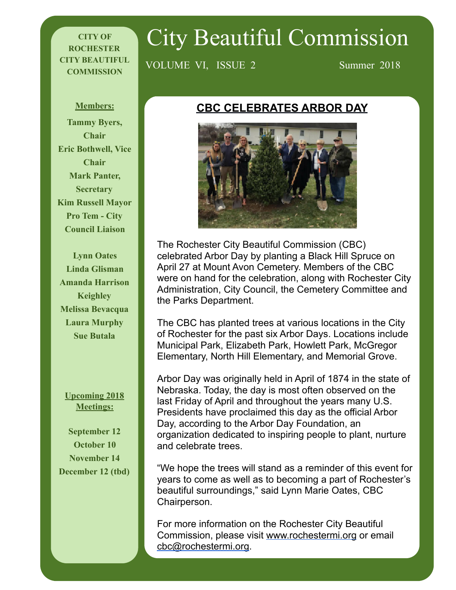#### **CITY OF ROCHESTER CITY BEAUTIFUL COMMISSION**

# City Beautiful Commission

VOLUME VI, ISSUE 2 Summer 2018

**Members: Tammy Byers, Chair Eric Bothwell, Vice Chair Mark Panter, Secretary Kim Russell Mayor Pro Tem - City Council Liaison** 

**Lynn Oates Linda Glisman Amanda Harrison Keighley Melissa Bevacqua Laura Murphy Sue Butala** 

**Upcoming 2018 Meetings:** 

**September 12 October 10 November 14 December 12 (tbd)**

## **CBC CELEBRATES ARBOR DAY**



The Rochester City Beautiful Commission (CBC) celebrated Arbor Day by planting a Black Hill Spruce on April 27 at Mount Avon Cemetery. Members of the CBC were on hand for the celebration, along with Rochester City Administration, City Council, the Cemetery Committee and the Parks Department.

The CBC has planted trees at various locations in the City of Rochester for the past six Arbor Days. Locations include Municipal Park, Elizabeth Park, Howlett Park, McGregor Elementary, North Hill Elementary, and Memorial Grove.

Arbor Day was originally held in April of 1874 in the state of Nebraska. Today, the day is most often observed on the last Friday of April and throughout the years many U.S. Presidents have proclaimed this day as the official Arbor Day, according to the Arbor Day Foundation, an organization dedicated to inspiring people to plant, nurture and celebrate trees.

"We hope the trees will stand as a reminder of this event for years to come as well as to becoming a part of Rochester's beautiful surroundings," said Lynn Marie Oates, CBC Chairperson.

For more information on the Rochester City Beautiful Commission, please visit [www.rochestermi.org](http://www.rochestermi.org/) or email [cbc@rochestermi.org](mailto:cbc@rochestermi.org).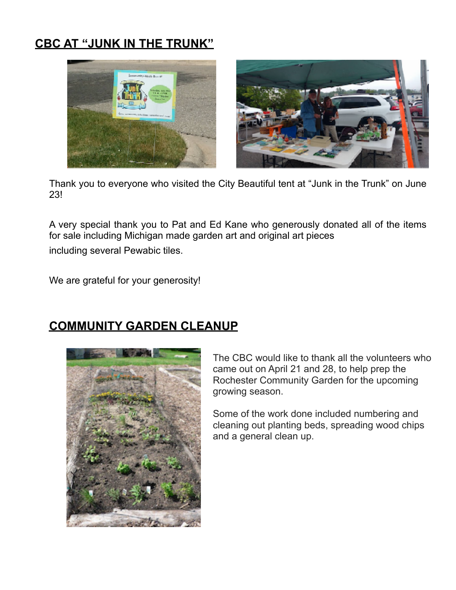# **CBC AT "JUNK IN THE TRUNK"**



Thank you to everyone who visited the City Beautiful tent at "Junk in the Trunk" on June 23!

A very special thank you to Pat and Ed Kane who generously donated all of the items for sale including Michigan made garden art and original art pieces including several Pewabic tiles.

We are grateful for your generosity!

### **COMMUNITY GARDEN CLEANUP**



The CBC would like to thank all the volunteers who came out on April 21 and 28, to help prep the Rochester Community Garden for the upcoming growing season.

Some of the work done included numbering and cleaning out planting beds, spreading wood chips and a general clean up.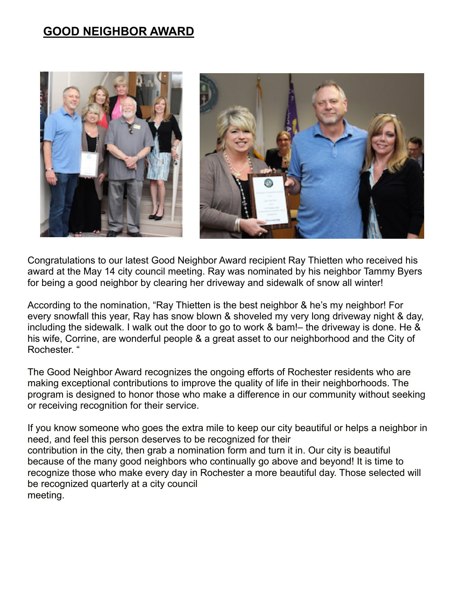## **GOOD NEIGHBOR AWARD**



Congratulations to our latest Good Neighbor Award recipient Ray Thietten who received his award at the May 14 city council meeting. Ray was nominated by his neighbor Tammy Byers for being a good neighbor by clearing her driveway and sidewalk of snow all winter!

According to the nomination, "Ray Thietten is the best neighbor & he's my neighbor! For every snowfall this year, Ray has snow blown & shoveled my very long driveway night & day, including the sidewalk. I walk out the door to go to work & bam!– the driveway is done. He & his wife, Corrine, are wonderful people & a great asset to our neighborhood and the City of Rochester. "

The Good Neighbor Award recognizes the ongoing efforts of Rochester residents who are making exceptional contributions to improve the quality of life in their neighborhoods. The program is designed to honor those who make a difference in our community without seeking or receiving recognition for their service.

If you know someone who goes the extra mile to keep our city beautiful or helps a neighbor in need, and feel this person deserves to be recognized for their contribution in the city, then grab a [nomination form](http://rochestermi.org/DocumentView.aspx?DID=285) and turn it in. Our city is beautiful because of the many good neighbors who continually go above and beyond! It is time to recognize those who make every day in Rochester a more beautiful day. Those selected will be recognized quarterly at a city council meeting.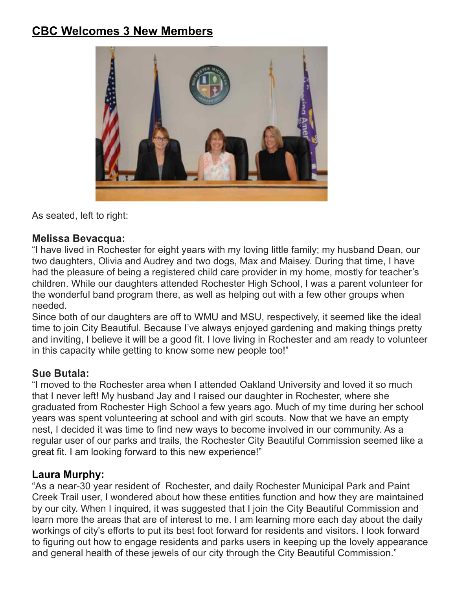## **CBC Welcomes 3 New Members**



As seated, left to right:

#### **Melissa Bevacqua:**

"I have lived in Rochester for eight years with my loving little family; my husband Dean, our two daughters, Olivia and Audrey and two dogs, Max and Maisey. During that time, I have had the pleasure of being a registered child care provider in my home, mostly for teacher's children. While our daughters attended Rochester High School, I was a parent volunteer for the wonderful band program there, as well as helping out with a few other groups when needed.

Since both of our daughters are off to WMU and MSU, respectively, it seemed like the ideal time to join City Beautiful. Because I've always enjoyed gardening and making things pretty and inviting, I believe it will be a good fit. I love living in Rochester and am ready to volunteer in this capacity while getting to know some new people too!"

#### **Sue Butala:**

"I moved to the Rochester area when I attended Oakland University and loved it so much that I never left! My husband Jay and I raised our daughter in Rochester, where she graduated from Rochester High School a few years ago. Much of my time during her school years was spent volunteering at school and with girl scouts. Now that we have an empty nest, I decided it was time to find new ways to become involved in our community. As a regular user of our parks and trails, the Rochester City Beautiful Commission seemed like a great fit. I am looking forward to this new experience!"

#### **Laura Murphy:**

"As a near-30 year resident of Rochester, and daily Rochester Municipal Park and Paint Creek Trail user, I wondered about how these entities function and how they are maintained by our city. When I inquired, it was suggested that I join the City Beautiful Commission and learn more the areas that are of interest to me. I am learning more each day about the daily workings of city's efforts to put its best foot forward for residents and visitors. I look forward to figuring out how to engage residents and parks users in keeping up the lovely appearance and general health of these jewels of our city through the City Beautiful Commission."